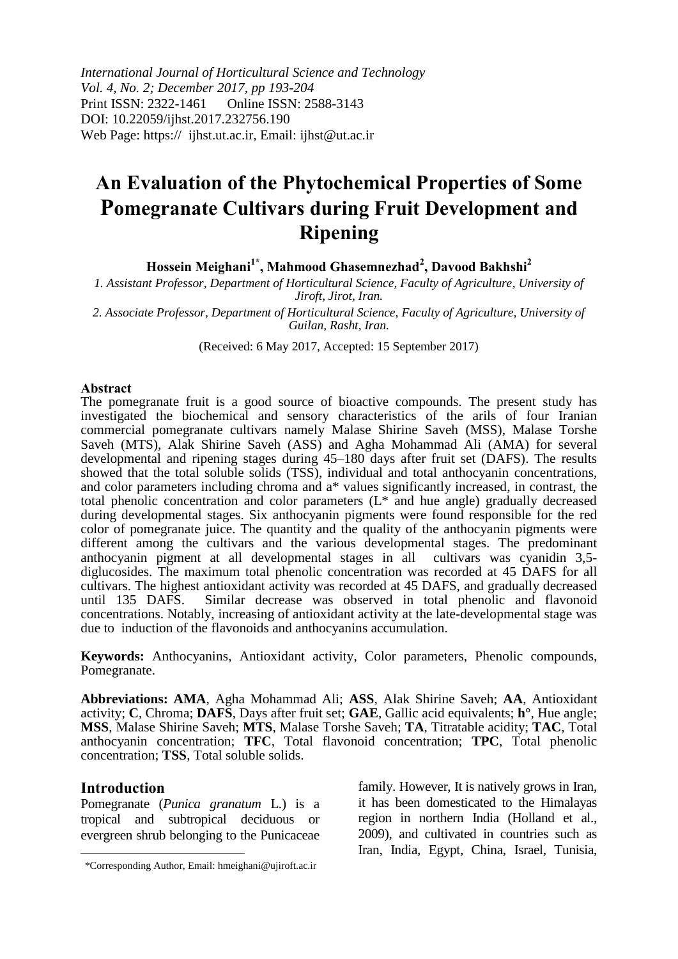*International Journal of Horticultural Science and Technology Vol. 4, No. 2; December 2017, pp 193-204* Print ISSN: 2322-1461 Online ISSN: 2588-3143 DOI: 10.22059/ijhst.2017.232756.190 Web Page: https://ijhst.ut.ac.ir, Email: ijhst@ut.ac.ir

# **An Evaluation of the Phytochemical Properties of Some Pomegranate Cultivars during Fruit Development and Ripening**

**Hossein Meighani1\*, Mahmood Ghasemnezhad<sup>2</sup> , Davood Bakhshi<sup>2</sup>**

*1. Assistant Professor, Department of Horticultural Science, Faculty of Agriculture, University of Jiroft, Jirot, Iran.*

*2. Associate Professor, Department of Horticultural Science, Faculty of Agriculture, University of Guilan, Rasht, Iran.*

(Received: 6 May 2017, Accepted: 15 September 2017)

#### **Abstract**

The pomegranate fruit is a good source of bioactive compounds. The present study has investigated the biochemical and sensory characteristics of the arils of four Iranian commercial pomegranate cultivars namely Malase Shirine Saveh (MSS), Malase Torshe Saveh (MTS), Alak Shirine Saveh (ASS) and Agha Mohammad Ali (AMA) for several developmental and ripening stages during 45–180 days after fruit set (DAFS). The results showed that the total soluble solids (TSS), individual and total anthocyanin concentrations, and color parameters including chroma and a\* values significantly increased, in contrast, the total phenolic concentration and color parameters (L\* and hue angle) gradually decreased during developmental stages. Six anthocyanin pigments were found responsible for the red color of pomegranate juice. The quantity and the quality of the anthocyanin pigments were different among the cultivars and the various developmental stages. The predominant anthocyanin pigment at all developmental stages in all cultivars was cyanidin 3,5anthocyanin pigment at all developmental stages in all diglucosides. The maximum total phenolic concentration was recorded at 45 DAFS for all cultivars. The highest antioxidant activity was recorded at 45 DAFS, and gradually decreased until 135 DAFS. Similar decrease was observed in total phenolic and flavonoid concentrations. Notably, increasing of antioxidant activity at the late-developmental stage was due to induction of the flavonoids and anthocyanins accumulation.

**Keywords:** Anthocyanins, Antioxidant activity, Color parameters, Phenolic compounds, Pomegranate.

**Abbreviations: AMA**, Agha Mohammad Ali; **ASS**, Alak Shirine Saveh; **AA**, Antioxidant activity; **C**, Chroma; **DAFS**, Days after fruit set; **GAE**, Gallic acid equivalents; **h°**, Hue angle; **MSS**, Malase Shirine Saveh; **MTS**, Malase Torshe Saveh; **TA**, Titratable acidity; **TAC**, Total anthocyanin concentration; **TFC**, Total flavonoid concentration; **TPC**, Total phenolic concentration; **TSS**, Total soluble solids.

#### **Introduction**

 $\overline{\phantom{a}}$ 

Pomegranate (*Punica granatum* L.) is a tropical and subtropical deciduous or evergreen shrub belonging to the Punicaceae

family. However, It is natively grows in Iran, it has been domesticated to the Himalayas region in northern India (Holland et al., 2009), and cultivated in countries such as Iran, India, Egypt, China, Israel, Tunisia,

<sup>\*</sup>Corresponding Author, Email: hmeighani@ujiroft.ac.ir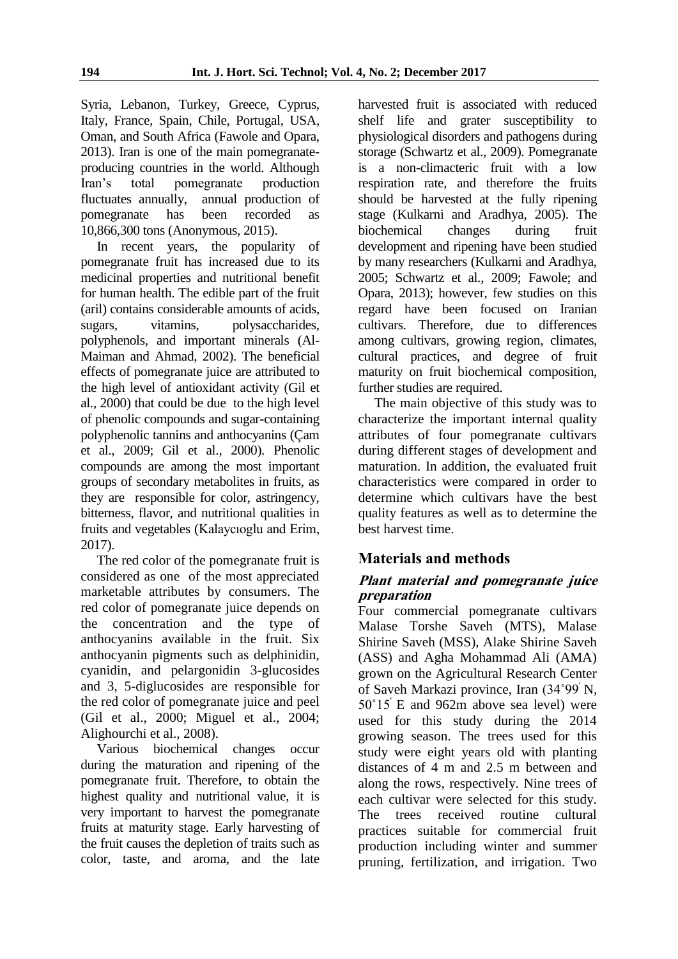Syria, Lebanon, Turkey, Greece, Cyprus, Italy, France, Spain, Chile, Portugal, USA, Oman, and South Africa (Fawole and Opara, 2013). Iran is one of the main pomegranateproducing countries in the world. Although Iran"s total pomegranate production fluctuates annually, annual production of pomegranate has been recorded as 10,866,300 tons (Anonymous, 2015).

In recent years, the popularity of pomegranate fruit has increased due to its medicinal properties and nutritional benefit for human health. The edible part of the fruit (aril) contains considerable amounts of acids, sugars, vitamins, polysaccharides, polyphenols, and important minerals (Al-Maiman and Ahmad, 2002). The beneficial effects of pomegranate juice are attributed to the high level of antioxidant activity (Gil et al., 2000) that could be due to the high level of phenolic compounds and sugar-containing polyphenolic tannins and anthocyanins (Çam et al., 2009; Gil et al., 2000). Phenolic compounds are among the most important groups of secondary metabolites in fruits, as they are responsible for color, astringency, bitterness, flavor, and nutritional qualities in fruits and vegetables (Kalaycıoglu and Erim, 2017).

The red color of the pomegranate fruit is considered as one of the most appreciated marketable attributes by consumers. The red color of pomegranate juice depends on the concentration and the type of anthocyanins available in the fruit. Six anthocyanin pigments such as delphinidin, cyanidin, and pelargonidin 3-glucosides and 3, 5-diglucosides are responsible for the red color of pomegranate juice and peel (Gil et al., 2000; Miguel et al., 2004; Alighourchi et al., 2008).

Various biochemical changes occur during the maturation and ripening of the pomegranate fruit. Therefore, to obtain the highest quality and nutritional value, it is very important to harvest the pomegranate fruits at maturity stage. Early harvesting of the fruit causes the depletion of traits such as color, taste, and aroma, and the late

harvested fruit is associated with reduced shelf life and grater susceptibility to physiological disorders and pathogens during storage (Schwartz et al., 2009). Pomegranate is a non-climacteric fruit with a low respiration rate, and therefore the fruits should be harvested at the fully ripening stage (Kulkarni and Aradhya, 2005). The biochemical changes during fruit development and ripening have been studied by many researchers (Kulkarni and Aradhya, 2005; Schwartz et al., 2009; Fawole; and Opara, 2013); however, few studies on this regard have been focused on Iranian cultivars. Therefore, due to differences among cultivars, growing region, climates, cultural practices, and degree of fruit maturity on fruit biochemical composition, further studies are required.

The main objective of this study was to characterize the important internal quality attributes of four pomegranate cultivars during different stages of development and maturation. In addition, the evaluated fruit characteristics were compared in order to determine which cultivars have the best quality features as well as to determine the best harvest time.

# **Materials and methods**

## **Plant material and pomegranate juice preparation**

Four commercial pomegranate cultivars Malase Torshe Saveh (MTS), Malase Shirine Saveh (MSS), Alake Shirine Saveh (ASS) and Agha Mohammad Ali (AMA) grown on the Agricultural Research Center of Saveh Markazi province, Iran (34˚99׳ N, 50°15<sup>'</sup> E and 962m above sea level) were used for this study during the 2014 growing season. The trees used for this study were eight years old with planting distances of 4 m and 2.5 m between and along the rows, respectively. Nine trees of each cultivar were selected for this study. The trees received routine cultural practices suitable for commercial fruit production including winter and summer pruning, fertilization, and irrigation. Two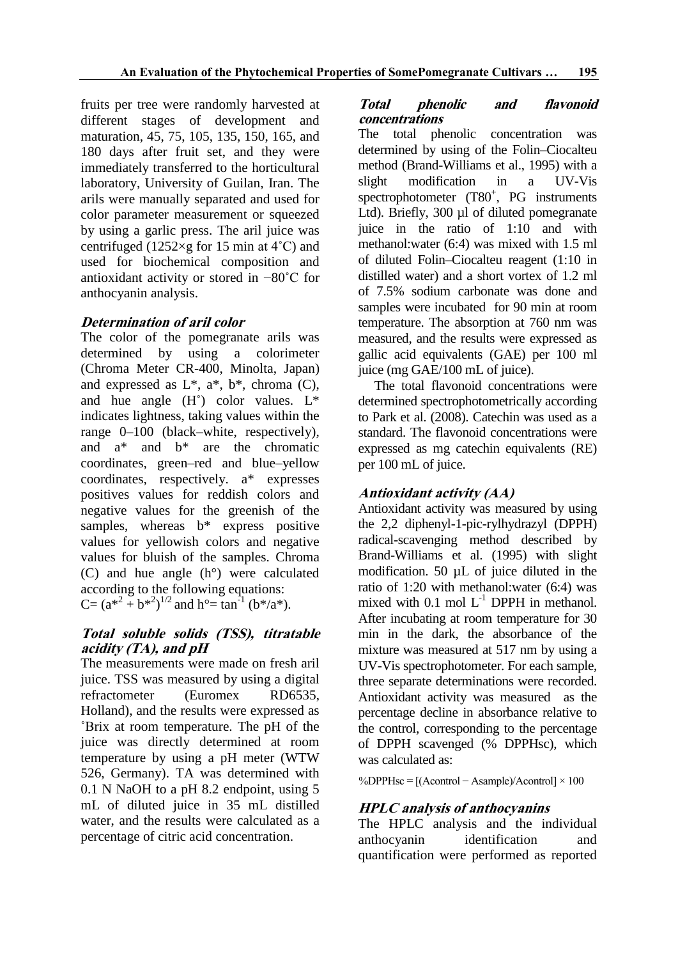fruits per tree were randomly harvested at different stages of development and maturation, 45, 75, 105, 135, 150, 165, and 180 days after fruit set, and they were immediately transferred to the horticultural laboratory, University of Guilan, Iran. The arils were manually separated and used for color parameter measurement or squeezed by using a garlic press. The aril juice was centrifuged (1252×g for 15 min at  $4^{\circ}$ C) and used for biochemical composition and antioxidant activity or stored in −80˚C for anthocyanin analysis.

#### **Determination of aril color**

The color of the pomegranate arils was determined by using a colorimeter (Chroma Meter CR-400, Minolta, Japan) and expressed as  $L^*$ ,  $a^*$ ,  $b^*$ , chroma (C), and hue angle  $(H<sup>°</sup>)$  color values.  $L^*$ indicates lightness, taking values within the range 0–100 (black–white, respectively), and a\* and b\* are the chromatic coordinates, green–red and blue–yellow coordinates, respectively. a\* expresses positives values for reddish colors and negative values for the greenish of the samples, whereas  $b^*$  express positive values for yellowish colors and negative values for bluish of the samples. Chroma (C) and hue angle (h°) were calculated according to the following equations: C=  $(a^{*2} + b^{*2})^{1/2}$  and  $h^{\circ}$ = tan<sup>-1</sup> (b\*/a\*).

# **Total soluble solids (TSS), titratable acidity (TA), and pH**

The measurements were made on fresh aril juice. TSS was measured by using a digital refractometer (Euromex RD6535, Holland), and the results were expressed as ˚Brix at room temperature. The pH of the juice was directly determined at room temperature by using a pH meter (WTW 526, Germany). TA was determined with 0.1 N NaOH to a pH 8.2 endpoint, using 5 mL of diluted juice in 35 mL distilled water, and the results were calculated as a percentage of citric acid concentration.

## **Total phenolic and flavonoid concentrations**

The total phenolic concentration was determined by using of the Folin–Ciocalteu method (Brand-Williams et al., 1995) with a slight modification in a UV-Vis spectrophotometer (T80<sup>+</sup>, PG instruments Ltd). Briefly, 300 µl of diluted pomegranate juice in the ratio of 1:10 and with methanol:water (6:4) was mixed with 1.5 ml of diluted Folin–Ciocalteu reagent (1:10 in distilled water) and a short vortex of 1.2 ml of 7.5% sodium carbonate was done and samples were incubated for 90 min at room temperature. The absorption at 760 nm was measured, and the results were expressed as gallic acid equivalents (GAE) per 100 ml juice (mg GAE/100 mL of juice).

The total flavonoid concentrations were determined spectrophotometrically according to Park et al. (2008). Catechin was used as a standard. The flavonoid concentrations were expressed as mg catechin equivalents (RE) per 100 mL of juice.

# **Antioxidant activity (AA)**

Antioxidant activity was measured by using the 2,2 diphenyl-1-pic-rylhydrazyl (DPPH) radical-scavenging method described by Brand-Williams et al. (1995) with slight modification. 50 µL of juice diluted in the ratio of 1:20 with methanol:water (6:4) was mixed with 0.1 mol  $L^{-1}$  DPPH in methanol. After incubating at room temperature for 30 min in the dark, the absorbance of the mixture was measured at 517 nm by using a UV-Vis spectrophotometer. For each sample, three separate determinations were recorded. Antioxidant activity was measured as the percentage decline in absorbance relative to the control, corresponding to the percentage of DPPH scavenged (% DPPHsc), which was calculated as:

%DPPHsc = [(Acontrol − Asample)/Acontrol] × 100

## **HPLC analysis of anthocyanins**

The HPLC analysis and the individual anthocyanin identification and quantification were performed as reported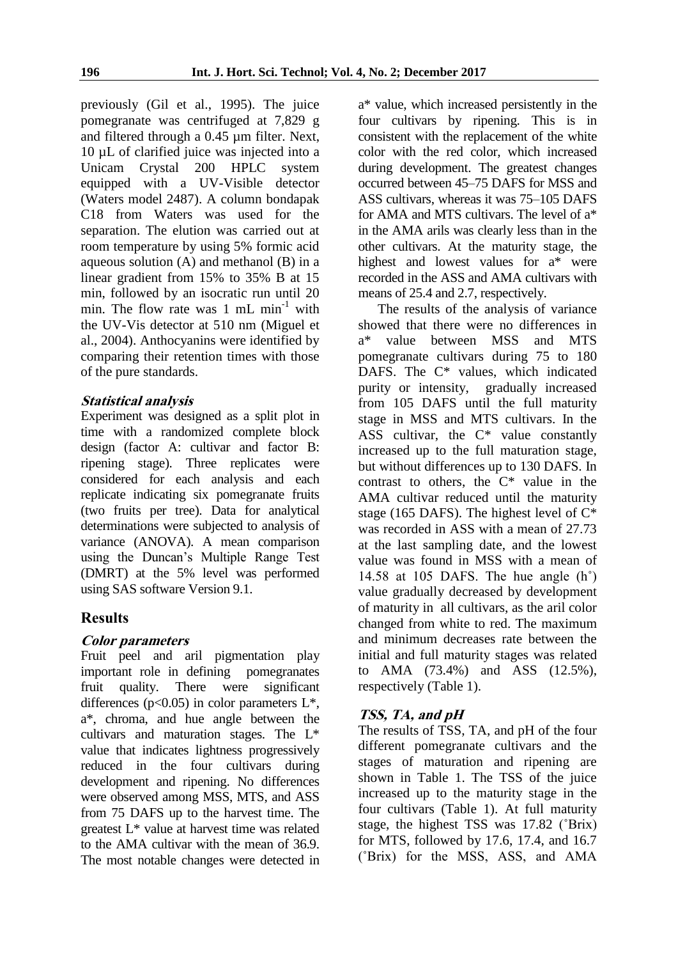previously (Gil et al., 1995). The juice pomegranate was centrifuged at 7,829 g and filtered through a 0.45 µm filter. Next, 10 µL of clarified juice was injected into a Unicam Crystal 200 HPLC system equipped with a UV-Visible detector (Waters model 2487). A column bondapak C18 from Waters was used for the separation. The elution was carried out at room temperature by using 5% formic acid aqueous solution (A) and methanol (B) in a linear gradient from 15% to 35% B at 15 min, followed by an isocratic run until 20 min. The flow rate was  $1 \text{ mL min}^{-1}$  with the UV-Vis detector at 510 nm (Miguel et al., 2004). Anthocyanins were identified by comparing their retention times with those of the pure standards.

#### **Statistical analysis**

Experiment was designed as a split plot in time with a randomized complete block design (factor A: cultivar and factor B: ripening stage). Three replicates were considered for each analysis and each replicate indicating six pomegranate fruits (two fruits per tree). Data for analytical determinations were subjected to analysis of variance (ANOVA). A mean comparison using the Duncan"s Multiple Range Test (DMRT) at the 5% level was performed using SAS software Version 9.1.

#### **Results**

#### **Color parameters**

Fruit peel and aril pigmentation play important role in defining pomegranates fruit quality. There were significant differences ( $p<0.05$ ) in color parameters  $L^*$ , a\*, chroma, and hue angle between the cultivars and maturation stages. The L\* value that indicates lightness progressively reduced in the four cultivars during development and ripening. No differences were observed among MSS, MTS, and ASS from 75 DAFS up to the harvest time. The greatest L\* value at harvest time was related to the AMA cultivar with the mean of 36.9. The most notable changes were detected in

a\* value, which increased persistently in the four cultivars by ripening. This is in consistent with the replacement of the white color with the red color, which increased during development. The greatest changes occurred between 45–75 DAFS for MSS and ASS cultivars, whereas it was 75–105 DAFS for AMA and MTS cultivars. The level of a\* in the AMA arils was clearly less than in the other cultivars. At the maturity stage, the highest and lowest values for a\* were recorded in the ASS and AMA cultivars with means of 25.4 and 2.7, respectively.

The results of the analysis of variance showed that there were no differences in a\* value between MSS and MTS pomegranate cultivars during 75 to 180 DAFS. The C\* values, which indicated purity or intensity, gradually increased from 105 DAFS until the full maturity stage in MSS and MTS cultivars. In the ASS cultivar, the  $C^*$  value constantly increased up to the full maturation stage, but without differences up to 130 DAFS. In contrast to others, the  $C^*$  value in the AMA cultivar reduced until the maturity stage (165 DAFS). The highest level of  $C^*$ was recorded in ASS with a mean of 27.73 at the last sampling date, and the lowest value was found in MSS with a mean of 14.58 at 105 DAFS. The hue angle (h˚) value gradually decreased by development of maturity in all cultivars, as the aril color changed from white to red. The maximum and minimum decreases rate between the initial and full maturity stages was related to AMA (73.4%) and ASS (12.5%), respectively (Table 1).

## **TSS, TA, and pH**

The results of TSS, TA, and pH of the four different pomegranate cultivars and the stages of maturation and ripening are shown in Table 1. The TSS of the juice increased up to the maturity stage in the four cultivars (Table 1). At full maturity stage, the highest TSS was 17.82 (˚Brix) for MTS, followed by 17.6, 17.4, and 16.7 (˚Brix) for the MSS, ASS, and AMA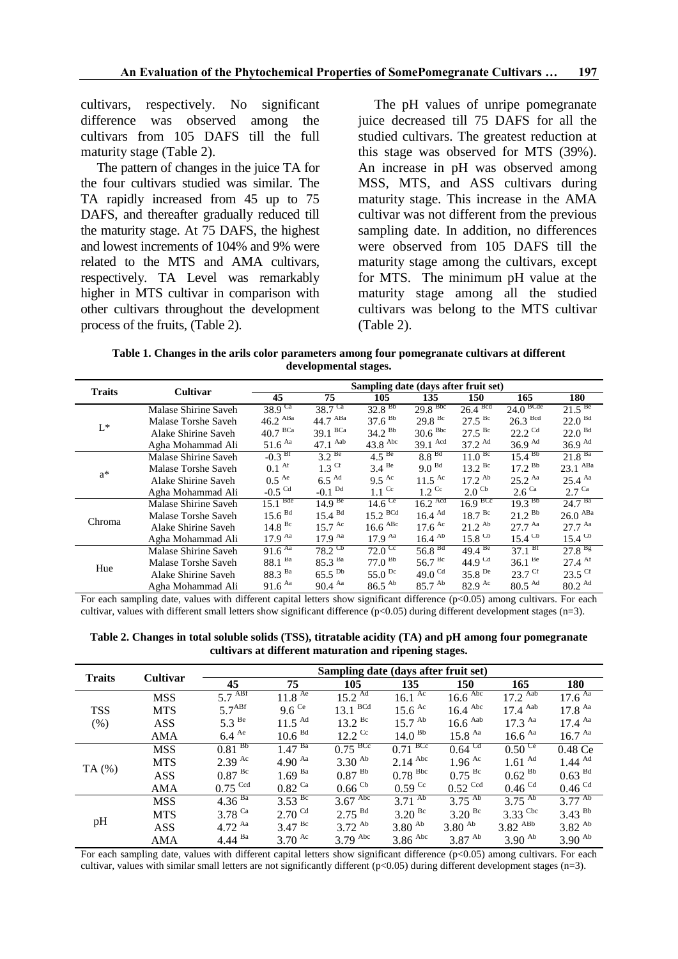cultivars, respectively. No significant difference was observed among the cultivars from 105 DAFS till the full maturity stage (Table 2).

The pattern of changes in the juice TA for the four cultivars studied was similar. The TA rapidly increased from 45 up to 75 DAFS, and thereafter gradually reduced till the maturity stage. At 75 DAFS, the highest and lowest increments of 104% and 9% were related to the MTS and AMA cultivars, respectively. TA Level was remarkably higher in MTS cultivar in comparison with other cultivars throughout the development process of the fruits, (Table 2).

The pH values of unripe pomegranate juice decreased till 75 DAFS for all the studied cultivars. The greatest reduction at this stage was observed for MTS (39%). An increase in pH was observed among MSS, MTS, and ASS cultivars during maturity stage. This increase in the AMA cultivar was not different from the previous sampling date. In addition, no differences were observed from 105 DAFS till the maturity stage among the cultivars, except for MTS. The minimum pH value at the maturity stage among all the studied cultivars was belong to the MTS cultivar (Table 2).

**Table 1. Changes in the arils color parameters among four pomegranate cultivars at different developmental stages.**

|               |                      | Sampling date (days after fruit set) |                             |                          |                            |                      |                             |                      |  |
|---------------|----------------------|--------------------------------------|-----------------------------|--------------------------|----------------------------|----------------------|-----------------------------|----------------------|--|
| <b>Traits</b> | Cultivar             | 45                                   | 75                          | 105                      | 135                        | 150                  | 165                         | 180                  |  |
| $L^*$         | Malase Shirine Saveh | $38.9^\text{Ca}$                     | $38.7^{\text{Ca}}$          | $32.8^{Bb}$              | $29.8$ <sup>Bbc</sup>      | 26.4 <sup>Bcd</sup>  | $24.0$ BCde                 | $21.5^{Be}$          |  |
|               | Malase Torshe Saveh  | $46.2$ $ABa$                         | 44.7 ABa                    | 37.6 <sup>bb</sup>       | $29.8^{Bc}$                | $27.5$ <sup>Bc</sup> | $26.3$ <sup>Bcd</sup>       | 22.0 <sup>Bd</sup>   |  |
|               | Alake Shirine Saveh  | $40.7 \text{ }^{\text{BCa}}$         | $39.1$ BCa                  | $34.2^{Bb}$              | 30.6 <sup>Bbc</sup>        | $27.5^{Bc}$          | $22.2$ <sup>Cd</sup>        | 22.0 <sup>Bd</sup>   |  |
|               | Agha Mohammad Ali    | $51.6$ $\mathrm{A}$ a                | $47.1$ Aab                  | $43.8$ Abc               | $39.1$ Acd                 | $37.2^{Ad}$          | 36.9 <sup>Ad</sup>          | 36.9 <sup>Ad</sup>   |  |
| $a^*$         | Malase Shirine Saveh | $-0.3$ Bf                            | 3.2 <sup>Be</sup>           | 4.5 <sup>Be</sup>        | 8.8 <sup>Bd</sup>          | $11.0^{BC}$          | $15.4^{Bb}$                 | 21.8 <sup>Ba</sup>   |  |
|               | Malase Torshe Saveh  | 0.1 <sup>At</sup>                    | $1.3$ Cf                    | $3.4$ <sup>Be</sup>      | 9.0 <sup>Bd</sup>          | $13.2^{Bc}$          | $17.2^{Bb}$                 | 23.1 <sup>ABa</sup>  |  |
|               | Alake Shirine Saveh  | $0.5$ <sup>Ae</sup>                  | $6.5$ <sup>Ad</sup>         | $9.5^{Ac}$               | $11.5$ <sup>Ac</sup>       | $17.2^{Ab}$          | $25.2^{Aa}$                 | $25.4^{Aa}$          |  |
|               | Agha Mohammad Ali    | $-0.5$ <sup>Cd</sup>                 | $-0.1$ <sup>Dd</sup>        | $1.1$ Cc                 | $1.2 \text{ }^{\text{Cc}}$ | $2.0$ <sup>Cb</sup>  | $2.6^\text{Ca}$             | $2.7$ Ca             |  |
| Chroma        | Malase Shirine Saveh | 15.1 <sup>Bde</sup>                  | 14.9 <sup>Be</sup>          | $14.6^{\circ}$           | $16.2$ Acd                 | $16.9$ BCc           | $19.3^{Bb}$                 | 24.7 <sup>Ba</sup>   |  |
|               | Malase Torshe Saveh  | 15.6 <sup>Bd</sup>                   | 15.4 <sup>Bd</sup>          | $15.2$ BCd               | $16.4$ Ad                  | 18.7 <sup>BC</sup>   | $21.2^{Bb}$                 | $26.0$ ABa           |  |
|               | Alake Shirine Saveh  | $14.8$ <sup>Bc</sup>                 | $15.7 \text{ }^{\text{Ac}}$ | $16.6$ $\mathrm{^{ABC}}$ | $17.6$ <sup>Ac</sup>       | $21.2^{Ab}$          | $27.7^{Aa}$                 | $27.7^{Aa}$          |  |
|               | Agha Mohammad Ali    | 17.9 <sup>Aa</sup>                   | 17.9 <sup>Aa</sup>          | $17.9$ Aa                | $16.4$ <sup>Ab</sup>       | $15.8$ <sup>Cb</sup> | $15.4$ <sup>Cb</sup>        | $15.4$ <sup>Cb</sup> |  |
| Hue           | Malase Shirine Saveh | $91.6^{Aa}$                          | $78.2$ <sup>Cb</sup>        | $72.0 \text{ }^{\circ}$  | 56.8 <sup>Bd</sup>         | $49.4^{Be}$          | 37.1 <sup>Br</sup>          | $27.8^{Bg}$          |  |
|               | Malase Torshe Saveh  | 88.1 Ba                              | 85.3 Ba                     | $77.0^{Bb}$              | $56.7^{Bc}$                | 44.9 $^{Cd}$         | $36.1^{Be}$                 | $27.4$ Af            |  |
|               | Alake Shirine Saveh  | 88.3 Ba                              | $65.5^{bb}$                 | 55.0 $pc$                | 49.0 $Cd$                  | $35.8^{De}$          | $23.7 \text{ }^{\text{CT}}$ | $23.5$ Cf            |  |
|               | Agha Mohammad Ali    | $91.6$ Aa                            | $90.4$ Aa                   | $86.5$ <sup>Ab</sup>     | $85.7^{Ab}$                | $82.9$ <sup>Ac</sup> | $80.5$ <sup>Ad</sup>        | 80.2 Ad              |  |

For each sampling date, values with different capital letters show significant difference (p<0.05) among cultivars. For each cultivar, values with different small letters show significant difference (p<0.05) during different development stages (n=3).

**Table 2. Changes in total soluble solids (TSS), titratable acidity (TA) and pH among four pomegranate cultivars at different maturation and ripening stages.**

| <b>Traits</b>      | <b>Cultivar</b> | Sampling date (days after fruit set) |                             |                               |                             |                              |                         |                             |  |  |
|--------------------|-----------------|--------------------------------------|-----------------------------|-------------------------------|-----------------------------|------------------------------|-------------------------|-----------------------------|--|--|
|                    |                 | 45                                   | 75                          | 105                           | 135                         | 150                          | 165                     | 180                         |  |  |
| <b>TSS</b><br>(% ) | <b>MSS</b>      | $5.7 \frac{\text{ABf}}{\text{}}$     | $11.8$ <sup>Ae</sup>        | $15.2^{\overline{\text{Ad}}}$ | $16.1 \text{ }^{\text{Ac}}$ | $16.6 \text{ }^{\text{Abc}}$ | $17.2$ <sup>Aab</sup>   | $17.6^{Aa}$                 |  |  |
|                    | <b>MTS</b>      | 5.7 <sup>ABf</sup>                   | $9.6$ <sup>Ce</sup>         | $13.1$ BCd                    | $15.6 \text{ }^{\text{Ac}}$ | $16.4$ Abc                   | $17.4$ Aab              | 17.8 <sup>Aa</sup>          |  |  |
|                    | <b>ASS</b>      | 5.3 <sup>Be</sup>                    | $11.5^{Ad}$                 | $13.2 \text{ }^{\text{Bc}}$   | $15.7^{Ab}$                 | $16.6$ Aab                   | $17.3$ $Aa$             | $17.4^{Aa}$                 |  |  |
|                    | <b>AMA</b>      | $6.4$ <sup>Ae</sup>                  | 10.6 <sup>Bd</sup>          | $12.2$ <sup>Cc</sup>          | 14.0 <sup>BB</sup>          | $15.8$ $Aa$                  | $16.6$ <sup>Aa</sup>    | 16.7 <sup>Aa</sup>          |  |  |
| TA $(%)$           | <b>MSS</b>      | $0.81^{Bb}$                          | $1.47^{Ba}$                 | $0.75$ <sup>BCc</sup>         | $0.71$ <sup>BCc</sup>       | $0.64$ <sup>Cd</sup>         | $0.50$ <sup>Ce</sup>    | 0.48 Ce                     |  |  |
|                    | <b>MTS</b>      | $2.39$ Ac                            | 4.90 $\mathrm{^{Aa}}$       | $3.30^{Ab}$                   | $2.14$ Abc                  | $1.96$ <sup>Ac</sup>         | $1.61$ $\mathrm{^{Ad}}$ | $1.44 \text{ }^{\text{Ad}}$ |  |  |
|                    | <b>ASS</b>      | $0.87~^{\rm{Bc}}$                    | $1.69^{Ba}$                 | $0.87~^{\rm Bb}$              | $0.78$ <sup>Bbc</sup>       | $0.75$ <sup>Bc</sup>         | $0.62$ <sup>Bb</sup>    | $0.63$ <sup>Bd</sup>        |  |  |
|                    | <b>AMA</b>      | $0.75$ <sup>Ccd</sup>                | $0.82$ $^{\rm Ca}$          | $0.66$ <sup>Cb</sup>          | $0.59$ <sup>Cc</sup>        | $0.52$ Ccd                   | $0.46$ <sup>Cd</sup>    | $0.46$ <sup>Cd</sup>        |  |  |
| pH                 | <b>MSS</b>      | $4.36^{Ba}$                          | $3.53^{BC}$                 | $3.67$ <sup>Abc</sup>         | $3.71^{Ab}$                 | $3.75^{Ab}$                  | $3.75^{Ab}$             | $3.77^{Ab}$                 |  |  |
|                    | <b>MTS</b>      | 3.78 $Ca$                            | $2.70$ <sup>Cd</sup>        | $2.75^{Bd}$                   | $3.20$ <sup>Bc</sup>        | $3.20$ <sup>Bc</sup>         | $3.33$ <sup>Cbc</sup>   | $3.43^{Bb}$                 |  |  |
|                    | <b>ASS</b>      | 4.72 $^{Aa}$                         | $3.47$ <sup>Bc</sup>        | $3.72^{Ab}$                   | 3.80 <sup>Ab</sup>          | 3.80 <sup>Ab</sup>           | $3.82$ $^{ABb}$         | $3.82$ <sup>Ab</sup>        |  |  |
|                    | AMA             | $4.44^{Ba}$                          | $3.70 \text{ }^{\text{Ac}}$ | $3.79$ Abc                    | $3.86$ Abc                  | $3.87$ <sup>Ab</sup>         | 3.90 <sup>Ab</sup>      | 3.90 <sup>Ab</sup>          |  |  |

For each sampling date, values with different capital letters show significant difference (p<0.05) among cultivars. For each cultivar, values with similar small letters are not significantly different (p<0.05) during different development stages (n=3).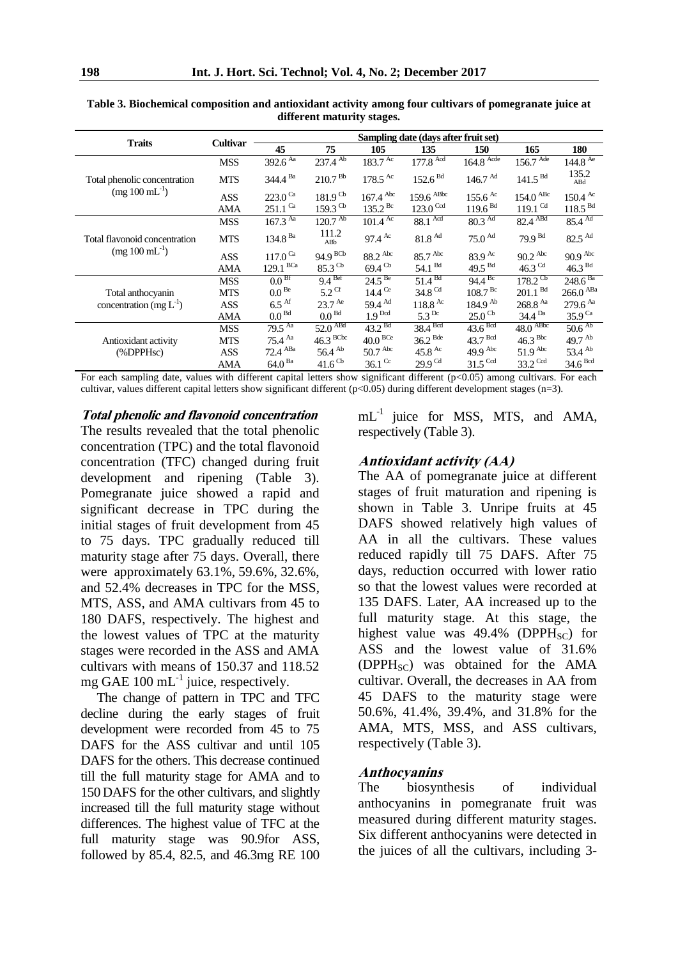|                               | Cultivar   | Sampling date (days after fruit set)      |                        |                               |                                |                                 |                           |                              |  |
|-------------------------------|------------|-------------------------------------------|------------------------|-------------------------------|--------------------------------|---------------------------------|---------------------------|------------------------------|--|
| <b>Traits</b>                 |            | 45                                        | 75                     | 105                           | 135                            | 150                             | 165                       | 180                          |  |
|                               | <b>MSS</b> | $392.6^{Aa}$                              | $237.4^{Ab}$           | $183.7^{Ac}$                  | $177.8$ <sup>Acd</sup>         | $164.8$ Acde                    | $156.7$ <sup>Ade</sup>    | $144.8^{Ae}$                 |  |
| Total phenolic concentration  | <b>MTS</b> | $344.4^{ Ba}$                             | 210.7 <sup> Bb</sup>   | $178.5$ <sup>Ac</sup>         | 152.6 <sup>Bd</sup>            | $146.7$ Ad                      | 141.5 <sup>Bd</sup>       | 135.2<br>ABd                 |  |
| $(mg 100 \text{ mL}^{-1})$    | <b>ASS</b> | $223.0$ <sup>Ca</sup>                     | $181.9$ <sup>Cb</sup>  | $167.4 \text{ }^{\text{Abc}}$ | $159.6$ $\mathrm{^{ABbc}}$     | $155.6$ <sup>Ac</sup>           | $154.0$ $\mathrm{^{ABC}}$ | $150.4 \text{ }^{\text{Ac}}$ |  |
|                               | <b>AMA</b> | $251.1$ <sup>Ca</sup>                     | $159.3$ <sup>Cb</sup>  | $135.2^{Bc}$                  | $123.0$ <sup>Ccd</sup>         | 119.6 <sup>Bd</sup>             | $119.1$ <sup>Cd</sup>     | 118.5 <sup>Bd</sup>          |  |
|                               | <b>MSS</b> | $167.3^{Aa}$                              | 120.7 <sup>Ab</sup>    | $101.4 \text{ }^{\text{Ac}}$  | 88.1 Acd                       | $80.3$ Ad                       | $82.4$ ABd                | $85.4^{Ad}$                  |  |
| Total flavonoid concentration | <b>MTS</b> | $134.8$ $^{\mbox{\scriptsize \text{Ba}}}$ | 111.2<br>ABb           | $97.4 \text{ }^{\text{Ac}}$   | 81.8 <sup>Ad</sup>             | 75.0 <sup>Ad</sup>              | 79.9 <sup>Bd</sup>        | $82.5$ <sup>Ad</sup>         |  |
| $(mg 100 \text{ mL}^{-1})$    | <b>ASS</b> | $117.0^{\text{Ca}}$                       | 94.9 B                 | $88.2$ Abc                    | 85.7 Abc                       | 83.9 Ac                         | $90.2$ <sup>Abc</sup>     | 90.9 <sup>Abc</sup>          |  |
|                               | AMA        | $129.1$ $^{\mathrm{BCa}}$                 | $85.3$ <sup>Cb</sup>   | $69.4$ <sup>Cb</sup>          | 54.1 <sup>Bd</sup>             | $49.5$ <sup>Bd</sup>            | 46.3 $Cd$                 | $46.3$ <sup>Bd</sup>         |  |
|                               | <b>MSS</b> | 0.0 <sup>Bf</sup>                         | 9.4 <sup>Bef</sup>     | $24.5^{Be}$                   | $51.4^{Bd}$                    | $94.4^{Bc}$                     | $178.2^{\text{Cb}}$       | $248.6^{ Ba}$                |  |
| Total anthocyanin             | <b>MTS</b> | 0.0 <sup>Be</sup>                         | $5.2$ Cf               | 14.4 <sup>Ce</sup>            | 34.8 Cd                        | 108.7 <sup> Bc</sup>            | 201.1 <sup>Bd</sup>       | $266.0$ ABa                  |  |
| concentration (mg $L^{-1}$ )  | <b>ASS</b> | $6.5$ <sup>Af</sup>                       | $23.7$ <sup>Ae</sup>   | 59.4 Ad                       | $118.8 \text{ }^{\text{Ac}}$   | $184.9^{Ab}$                    | $268.8$ Aa                | $279.6$ <sup>Aa</sup>        |  |
|                               | AMA        | 0.0 <sup>Bd</sup>                         | 0.0 <sup>Bd</sup>      | 1.9 <sup>Dcd</sup>            | 5.3 <sup>Dc</sup>              | $25.0$ <sup>Cb</sup>            | 34.4 <sup>Da</sup>        | $35.9$ <sup>Ca</sup>         |  |
|                               | <b>MSS</b> | $79.5^{Aa}$                               | 52.0 <sup>ABd</sup>    | $43.2^{Bd}$                   | $38.4$ <sup>Bcd</sup>          | $43.6$ <sup>Bcd</sup>           | 48.0 <sup>ABbc</sup>      | 50.6 <sup>Ab</sup>           |  |
| Antioxidant activity          | <b>MTS</b> | $75.4^{Aa}$                               | $46.3$ <sup>BCbc</sup> | 40.0 <sup>BCe</sup>           | $36.2$ <sup>Bde</sup>          | 43.7 <sup> Bcd</sup>            | $46.3$ <sup>Bbc</sup>     | 49.7 $^{Ab}$                 |  |
| $(\%$ DPP $Hsc)$              | ASS.       | $72.4$ $\mathrm{^{ABa}}$                  | $56.4$ <sup>Ab</sup>   | $50.7 \text{ }^{\text{Abc}}$  | 45.8 $\mathrm{A}^{\mathrm{c}}$ | 49.9 $\mathrm{A}^{\mathrm{bc}}$ | 51.9 <sup>Abc</sup>       | 53.4 Ab                      |  |
|                               | AMA        | 64.0 <sup>Ba</sup>                        | $41.6$ <sup>Cb</sup>   | $36.1$ <sup>Cc</sup>          | $29.9$ <sup>Cd</sup>           | $31.5$ <sup>Ccd</sup>           | 33.2 Ccd                  | 34.6 <sup>Bcd</sup>          |  |

**Table 3. Biochemical composition and antioxidant activity among four cultivars of pomegranate juice at different maturity stages.**

For each sampling date, values with different capital letters show significant different (p<0.05) among cultivars. For each cultivar, values different capital letters show significant different (p<0.05) during different development stages (n=3).

**Total phenolic and flavonoid concentration** The results revealed that the total phenolic concentration (TPC) and the total flavonoid concentration (TFC) changed during fruit development and ripening (Table 3). Pomegranate juice showed a rapid and significant decrease in TPC during the initial stages of fruit development from 45 to 75 days. TPC gradually reduced till maturity stage after 75 days. Overall, there were approximately 63.1%, 59.6%, 32.6%, and 52.4% decreases in TPC for the MSS, MTS, ASS, and AMA cultivars from 45 to 180 DAFS, respectively. The highest and the lowest values of TPC at the maturity stages were recorded in the ASS and AMA cultivars with means of 150.37 and 118.52 mg GAE  $100 \text{ mL}^{-1}$  juice, respectively.

The change of pattern in TPC and TFC decline during the early stages of fruit development were recorded from 45 to 75 DAFS for the ASS cultivar and until 105 DAFS for the others. This decrease continued till the full maturity stage for AMA and to 150 DAFS for the other cultivars, and slightly increased till the full maturity stage without differences. The highest value of TFC at the full maturity stage was 90.9for ASS, followed by 85.4, 82.5, and 46.3mg RE 100  $mL^{-1}$  juice for MSS, MTS, and AMA, respectively (Table 3).

#### **Antioxidant activity (AA)**

The AA of pomegranate juice at different stages of fruit maturation and ripening is shown in Table 3. Unripe fruits at 45 DAFS showed relatively high values of AA in all the cultivars. These values reduced rapidly till 75 DAFS. After 75 days, reduction occurred with lower ratio so that the lowest values were recorded at 135 DAFS. Later, AA increased up to the full maturity stage. At this stage, the highest value was  $49.4\%$  (DPPH<sub>SC</sub>) for ASS and the lowest value of 31.6% (DPPH<sub>SC</sub>) was obtained for the AMA cultivar. Overall, the decreases in AA from 45 DAFS to the maturity stage were 50.6%, 41.4%, 39.4%, and 31.8% for the AMA, MTS, MSS, and ASS cultivars, respectively (Table 3).

#### **Anthocyanins**

The biosynthesis of individual anthocyanins in pomegranate fruit was measured during different maturity stages. Six different anthocyanins were detected in the juices of all the cultivars, including 3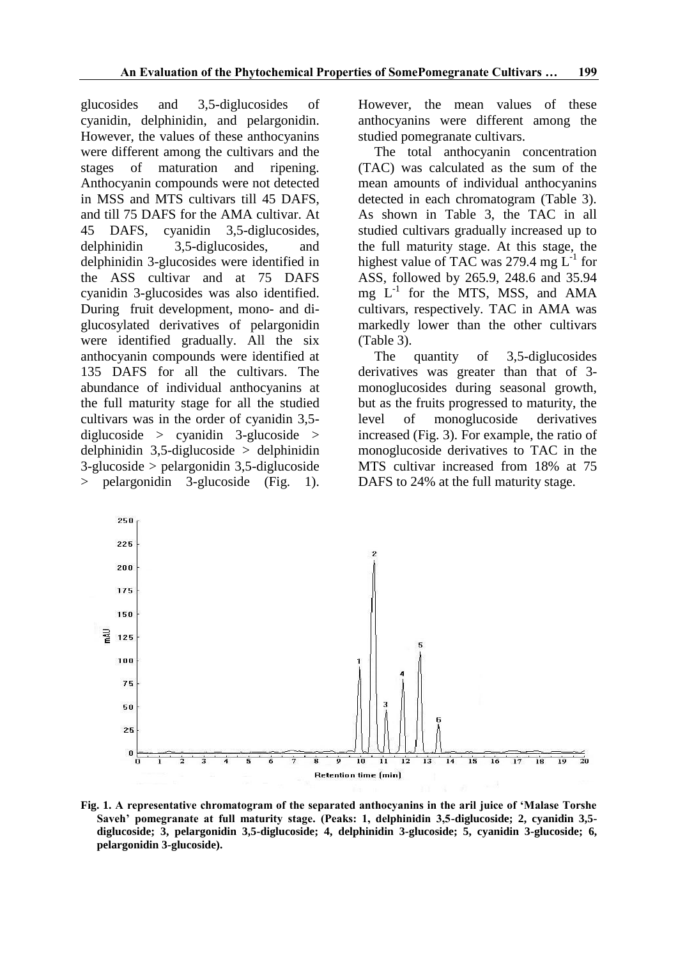glucosides and 3,5-diglucosides of cyanidin, delphinidin, and pelargonidin. However, the values of these anthocyanins were different among the cultivars and the stages of maturation and ripening. Anthocyanin compounds were not detected in MSS and MTS cultivars till 45 DAFS, and till 75 DAFS for the AMA cultivar. At 45 DAFS, cyanidin 3,5-diglucosides, delphinidin 3,5-diglucosides, and delphinidin 3-glucosides were identified in the ASS cultivar and at 75 DAFS cyanidin 3-glucosides was also identified. During fruit development, mono- and diglucosylated derivatives of pelargonidin were identified gradually. All the six anthocyanin compounds were identified at 135 DAFS for all the cultivars. The abundance of individual anthocyanins at the full maturity stage for all the studied cultivars was in the order of cyanidin 3,5 diglucoside  $>$  cyanidin 3-glucoside  $>$ delphinidin  $3,5$ -diglucoside > delphinidin 3-glucoside > pelargonidin 3,5-diglucoside > pelargonidin 3-glucoside (Fig. 1).

However, the mean values of these anthocyanins were different among the studied pomegranate cultivars.

The total anthocyanin concentration (TAC) was calculated as the sum of the mean amounts of individual anthocyanins detected in each chromatogram (Table 3). As shown in Table 3, the TAC in all studied cultivars gradually increased up to the full maturity stage. At this stage, the highest value of TAC was 279.4 mg  $L^{-1}$  for ASS, followed by 265.9, 248.6 and 35.94 mg L-1 for the MTS, MSS, and AMA cultivars, respectively. TAC in AMA was markedly lower than the other cultivars (Table 3).

The quantity of 3,5-diglucosides derivatives was greater than that of 3 monoglucosides during seasonal growth, but as the fruits progressed to maturity, the level of monoglucoside derivatives increased (Fig. 3). For example, the ratio of monoglucoside derivatives to TAC in the MTS cultivar increased from 18% at 75 DAFS to 24% at the full maturity stage.



**Fig. 1. A representative chromatogram of the separated anthocyanins in the aril juice of 'Malase Torshe Saveh' pomegranate at full maturity stage. (Peaks: 1, delphinidin 3,5-diglucoside; 2, cyanidin 3,5 diglucoside; 3, pelargonidin 3,5-diglucoside; 4, delphinidin 3-glucoside; 5, cyanidin 3-glucoside; 6, pelargonidin 3-glucoside).**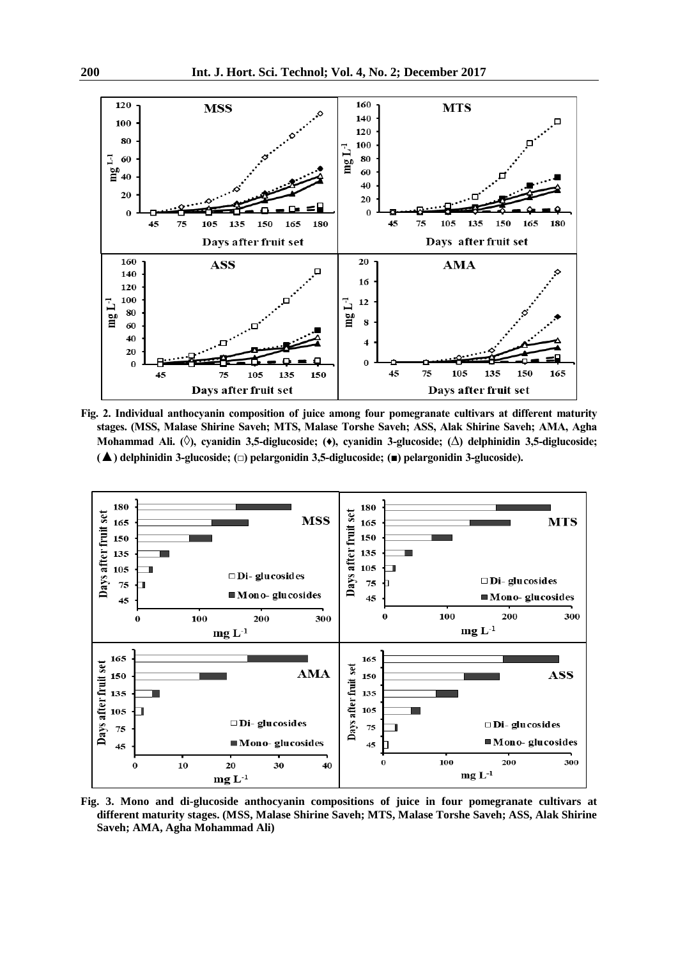

**Fig. 2. Individual anthocyanin composition of juice among four pomegranate cultivars at different maturity stages. (MSS, Malase Shirine Saveh; MTS, Malase Torshe Saveh; ASS, Alak Shirine Saveh; AMA, Agha Mohammad Ali. (**◊**), cyanidin 3,5-diglucoside; (♦), cyanidin 3-glucoside; (**∆**) delphinidin 3,5-diglucoside; (**▲**) delphinidin 3-glucoside; (□) pelargonidin 3,5-diglucoside; (■) pelargonidin 3-glucoside).**



**Fig. 3. Mono and di-glucoside anthocyanin compositions of juice in four pomegranate cultivars at different maturity stages. (MSS, Malase Shirine Saveh; MTS, Malase Torshe Saveh; ASS, Alak Shirine Saveh; AMA, Agha Mohammad Ali)**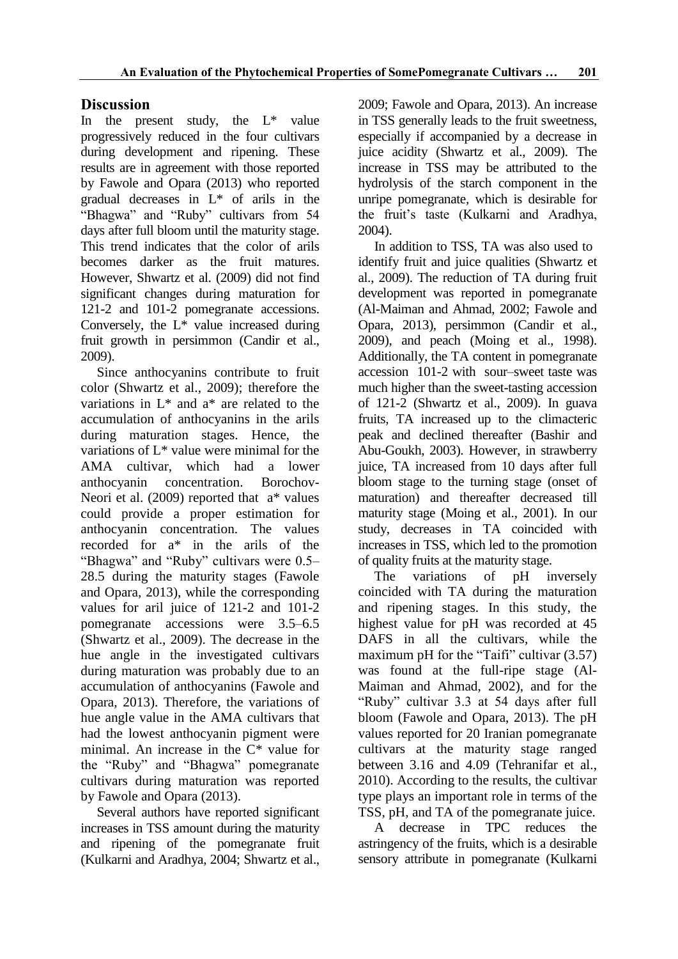# **Discussion**

In the present study, the  $L^*$  value progressively reduced in the four cultivars during development and ripening. These results are in agreement with those reported by Fawole and Opara (2013) who reported gradual decreases in L\* of arils in the "Bhagwa" and "Ruby" cultivars from 54 days after full bloom until the maturity stage. This trend indicates that the color of arils becomes darker as the fruit matures. However, Shwartz et al. (2009) did not find significant changes during maturation for 121-2 and 101-2 pomegranate accessions. Conversely, the L\* value increased during fruit growth in persimmon (Candir et al., 2009).

Since anthocyanins contribute to fruit color (Shwartz et al., 2009); therefore the variations in L\* and a\* are related to the accumulation of anthocyanins in the arils during maturation stages. Hence, the variations of L\* value were minimal for the AMA cultivar, which had a lower anthocyanin concentration. Borochov-Neori et al. (2009) reported that a\* values could provide a proper estimation for anthocyanin concentration. The values recorded for a\* in the arils of the "Bhagwa" and "Ruby" cultivars were 0.5– 28.5 during the maturity stages (Fawole and Opara, 2013), while the corresponding values for aril juice of 121-2 and 101-2 pomegranate accessions were 3.5–6.5 (Shwartz et al., 2009). The decrease in the hue angle in the investigated cultivars during maturation was probably due to an accumulation of anthocyanins (Fawole and Opara, 2013). Therefore, the variations of hue angle value in the AMA cultivars that had the lowest anthocyanin pigment were minimal. An increase in the C\* value for the "Ruby" and "Bhagwa" pomegranate cultivars during maturation was reported by Fawole and Opara (2013).

Several authors have reported significant increases in TSS amount during the maturity and ripening of the pomegranate fruit (Kulkarni and Aradhya, 2004; Shwartz et al.,

2009; Fawole and Opara, 2013). An increase in TSS generally leads to the fruit sweetness, especially if accompanied by a decrease in juice acidity (Shwartz et al., 2009). The increase in TSS may be attributed to the hydrolysis of the starch component in the unripe pomegranate, which is desirable for the fruit"s taste (Kulkarni and Aradhya, 2004).

In addition to TSS, TA was also used to identify fruit and juice qualities (Shwartz et al., 2009). The reduction of TA during fruit development was reported in pomegranate (Al-Maiman and Ahmad, 2002; Fawole and Opara, 2013), persimmon (Candir et al., 2009), and peach (Moing et al., 1998). Additionally, the TA content in pomegranate accession 101-2 with sour–sweet taste was much higher than the sweet-tasting accession of 121-2 (Shwartz et al., 2009). In guava fruits, TA increased up to the climacteric peak and declined thereafter (Bashir and Abu-Goukh, 2003). However, in strawberry juice, TA increased from 10 days after full bloom stage to the turning stage (onset of maturation) and thereafter decreased till maturity stage (Moing et al., 2001). In our study, decreases in TA coincided with increases in TSS, which led to the promotion of quality fruits at the maturity stage.

The variations of pH inversely coincided with TA during the maturation and ripening stages. In this study, the highest value for pH was recorded at 45 DAFS in all the cultivars, while the maximum pH for the "Taifi" cultivar  $(3.57)$ was found at the full-ripe stage (Al-Maiman and Ahmad, 2002), and for the "Ruby" cultivar 3.3 at 54 days after full bloom (Fawole and Opara, 2013). The pH values reported for 20 Iranian pomegranate cultivars at the maturity stage ranged between 3.16 and 4.09 (Tehranifar et al., 2010). According to the results, the cultivar type plays an important role in terms of the TSS, pH, and TA of the pomegranate juice.

A decrease in TPC reduces the astringency of the fruits, which is a desirable sensory attribute in pomegranate (Kulkarni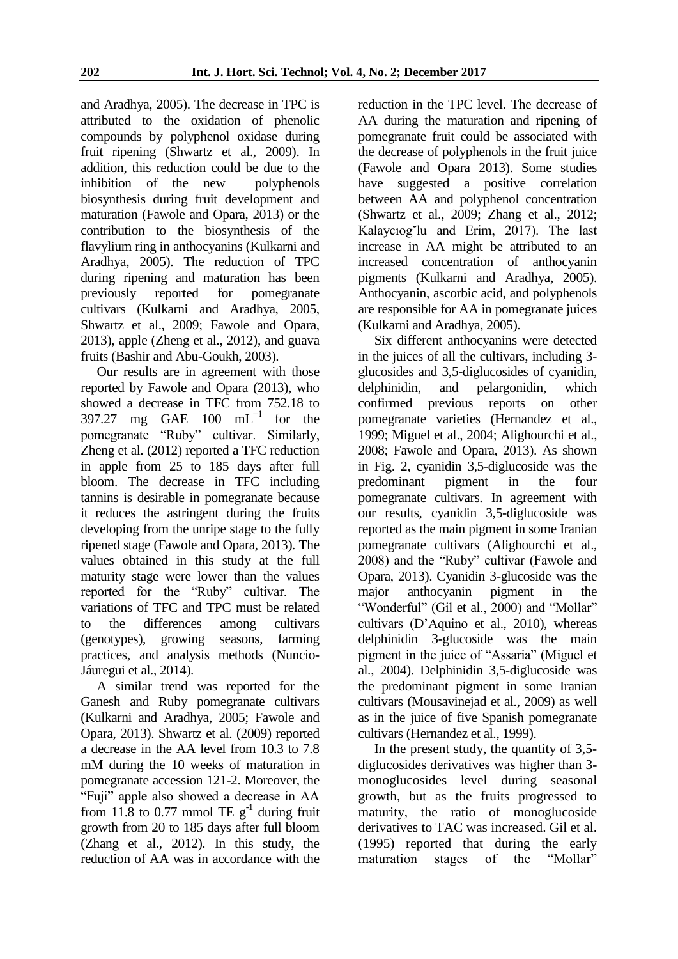and Aradhya, 2005). The decrease in TPC is attributed to the oxidation of phenolic compounds by polyphenol oxidase during fruit ripening (Shwartz et al., 2009). In addition, this reduction could be due to the inhibition of the new polyphenols biosynthesis during fruit development and maturation (Fawole and Opara, 2013) or the contribution to the biosynthesis of the flavylium ring in anthocyanins (Kulkarni and Aradhya, 2005). The reduction of TPC during ripening and maturation has been previously reported for pomegranate cultivars (Kulkarni and Aradhya, 2005, Shwartz et al., 2009; Fawole and Opara, 2013), apple (Zheng et al., 2012), and guava fruits (Bashir and Abu-Goukh, 2003).

Our results are in agreement with those reported by Fawole and Opara (2013), who showed a decrease in TFC from 752.18 to 397.27 mg GAE  $100 \text{ mL}^{-1}$  for the pomegranate "Ruby" cultivar. Similarly, Zheng et al. (2012) reported a TFC reduction in apple from 25 to 185 days after full bloom. The decrease in TFC including tannins is desirable in pomegranate because it reduces the astringent during the fruits developing from the unripe stage to the fully ripened stage (Fawole and Opara, 2013). The values obtained in this study at the full maturity stage were lower than the values reported for the "Ruby" cultivar. The variations of TFC and TPC must be related to the differences among cultivars (genotypes), growing seasons, farming practices, and analysis methods (Nuncio-Jáuregui et al., 2014).

A similar trend was reported for the Ganesh and Ruby pomegranate cultivars (Kulkarni and Aradhya, 2005; Fawole and Opara, 2013). Shwartz et al. (2009) reported a decrease in the AA level from 10.3 to 7.8 mM during the 10 weeks of maturation in pomegranate accession 121-2. Moreover, the "Fuji" apple also showed a decrease in AA from 11.8 to 0.77 mmol TE  $g^{-1}$  during fruit growth from 20 to 185 days after full bloom (Zhang et al., 2012). In this study, the reduction of AA was in accordance with the

reduction in the TPC level. The decrease of AA during the maturation and ripening of pomegranate fruit could be associated with the decrease of polyphenols in the fruit juice (Fawole and Opara 2013). Some studies have suggested a positive correlation between AA and polyphenol concentration (Shwartz et al., 2009; Zhang et al., 2012; Kalaycıog˘lu and Erim, 2017). The last increase in AA might be attributed to an increased concentration of anthocyanin pigments (Kulkarni and Aradhya, 2005). Anthocyanin, ascorbic acid, and polyphenols are responsible for AA in pomegranate juices (Kulkarni and Aradhya, 2005).

Six different anthocyanins were detected in the juices of all the cultivars, including 3 glucosides and 3,5-diglucosides of cyanidin, delphinidin, and pelargonidin, which confirmed previous reports on other pomegranate varieties (Hernandez et al., 1999; Miguel et al., 2004; Alighourchi et al., 2008; Fawole and Opara, 2013). As shown in Fig. 2, cyanidin 3,5-diglucoside was the predominant pigment in the four pomegranate cultivars. In agreement with our results, cyanidin 3,5-diglucoside was reported as the main pigment in some Iranian pomegranate cultivars (Alighourchi et al., 2008) and the "Ruby" cultivar (Fawole and Opara, 2013). Cyanidin 3-glucoside was the major anthocyanin pigment in the "Wonderful" (Gil et al., 2000) and "Mollar" cultivars (D"Aquino et al., 2010), whereas delphinidin 3-glucoside was the main pigment in the juice of "Assaria" (Miguel et al., 2004). Delphinidin 3,5-diglucoside was the predominant pigment in some Iranian cultivars (Mousavinejad et al., 2009) as well as in the juice of five Spanish pomegranate cultivars (Hernandez et al., 1999).

In the present study, the quantity of 3,5 diglucosides derivatives was higher than 3 monoglucosides level during seasonal growth, but as the fruits progressed to maturity, the ratio of monoglucoside derivatives to TAC was increased. Gil et al. (1995) reported that during the early maturation stages of the "Mollar"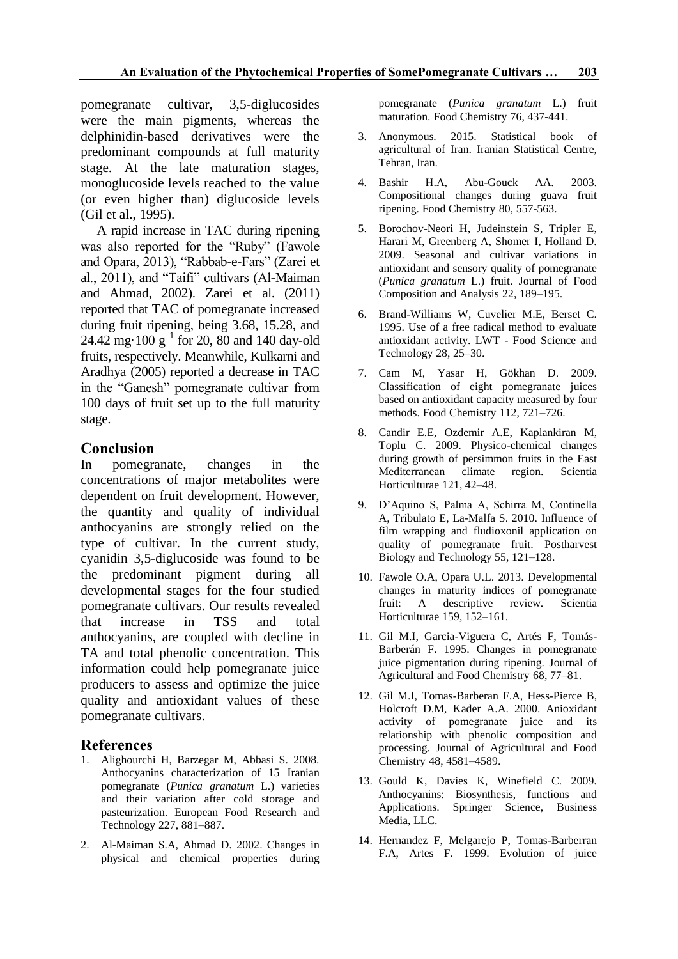pomegranate cultivar, 3,5-diglucosides were the main pigments, whereas the delphinidin-based derivatives were the predominant compounds at full maturity stage. At the late maturation stages, monoglucoside levels reached to the value (or even higher than) diglucoside levels (Gil et al., 1995).

A rapid increase in TAC during ripening was also reported for the "Ruby" (Fawole and Opara, 2013), "Rabbab-e-Fars" (Zarei et al., 2011), and "Taifi" cultivars (Al-Maiman and Ahmad, 2002). Zarei et al. (2011) reported that TAC of pomegranate increased during fruit ripening, being 3.68, 15.28, and 24.42 mg $\cdot$ 100  $g^{-1}$  for 20, 80 and 140 day-old fruits, respectively. Meanwhile, Kulkarni and Aradhya (2005) reported a decrease in TAC in the "Ganesh" pomegranate cultivar from 100 days of fruit set up to the full maturity stage.

## **Conclusion**

In pomegranate, changes in the concentrations of major metabolites were dependent on fruit development. However, the quantity and quality of individual anthocyanins are strongly relied on the type of cultivar. In the current study, cyanidin 3,5-diglucoside was found to be the predominant pigment during all developmental stages for the four studied pomegranate cultivars. Our results revealed that increase in TSS and total anthocyanins, are coupled with decline in TA and total phenolic concentration. This information could help pomegranate juice producers to assess and optimize the juice quality and antioxidant values of these pomegranate cultivars.

#### **References**

- 1. Alighourchi H, Barzegar M, Abbasi S. 2008. Anthocyanins characterization of 15 Iranian pomegranate (*Punica granatum* L.) varieties and their variation after cold storage and pasteurization. European Food Research and Technology 227, 881–887.
- 2. Al-Maiman S.A, Ahmad D. 2002. Changes in physical and chemical properties during

pomegranate (*Punica granatum* L.) fruit maturation. Food Chemistry 76, 437-441.

- 3. Anonymous. 2015. Statistical book of agricultural of Iran. Iranian Statistical Centre, Tehran, Iran.
- 4. Bashir H.A, Abu-Gouck AA. 2003. Compositional changes during guava fruit ripening. Food Chemistry 80, 557-563.
- 5. Borochov-Neori H, Judeinstein S, Tripler E, Harari M, Greenberg A, Shomer I, Holland D. 2009. Seasonal and cultivar variations in antioxidant and sensory quality of pomegranate (*Punica granatum* L.) fruit. Journal of Food Composition and Analysis 22, 189–195.
- 6. Brand-Williams W, Cuvelier M.E, Berset C. 1995. Use of a free radical method to evaluate antioxidant activity. LWT - Food Science and Technology 28, 25–30.
- 7. Cam M, Yasar H, Gökhan D. 2009. Classification of eight pomegranate juices based on antioxidant capacity measured by four methods. Food Chemistry 112, 721–726.
- 8. Candir E.E, Ozdemir A.E, Kaplankiran M, Toplu C. 2009. Physico-chemical changes during growth of persimmon fruits in the East Mediterranean climate region. Scientia Horticulturae 121, 42–48.
- 9. D"Aquino S, Palma A, Schirra M, Continella A, Tribulato E, La-Malfa S. 2010. Influence of film wrapping and fludioxonil application on quality of pomegranate fruit. Postharvest Biology and Technology 55, 121–128.
- 10. Fawole O.A, Opara U.L. 2013. Developmental changes in maturity indices of pomegranate fruit: A descriptive review. Scientia Horticulturae 159, 152–161.
- 11. Gil M.I, Garcia-Viguera C, Artés F, Tomás-Barberán F. 1995. Changes in pomegranate juice pigmentation during ripening. Journal of Agricultural and Food Chemistry 68, 77–81.
- 12. Gil M.I, Tomas-Barberan F.A, Hess-Pierce B, Holcroft D.M, Kader A.A. 2000. Anioxidant activity of pomegranate juice and its relationship with phenolic composition and processing. Journal of Agricultural and Food Chemistry 48, 4581–4589.
- 13. Gould K, Davies K, Winefield C. 2009. Anthocyanins: Biosynthesis, functions and Applications. Springer Science, Business Media, LLC.
- 14. Hernandez F, Melgarejo P, Tomas-Barberran F.A, Artes F. 1999. Evolution of juice